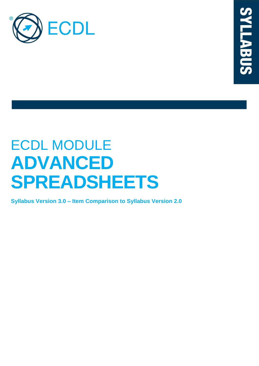

# ECDL MODULE **ADVANCED SPREADSHEETS**

**Syllabus Version 3.0 – Item Comparison to Syllabus Version 2.0**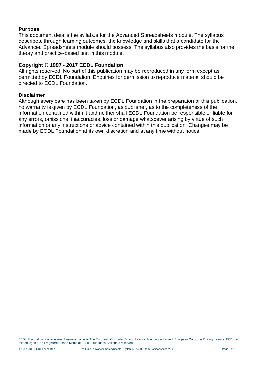## **Purpose**

This document details the syllabus for the Advanced Spreadsheets module. The syllabus describes, through learning outcomes, the knowledge and skills that a candidate for the Advanced Spreadsheets module should possess. The syllabus also provides the basis for the theory and practice-based test in this module.

## **Copyright © 1997 - 2017 ECDL Foundation**

All rights reserved. No part of this publication may be reproduced in any form except as permitted by ECDL Foundation. Enquiries for permission to reproduce material should be directed to ECDL Foundation.

#### **Disclaimer**

Although every care has been taken by ECDL Foundation in the preparation of this publication, no warranty is given by ECDL Foundation, as publisher, as to the completeness of the information contained within it and neither shall ECDL Foundation be responsible or liable for any errors, omissions, inaccuracies, loss or damage whatsoever arising by virtue of such information or any instructions or advice contained within this publication. Changes may be made by ECDL Foundation at its own discretion and at any time without notice.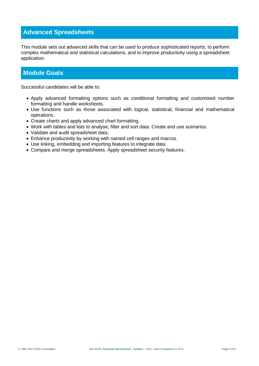# **Advanced Spreadsheets**

This module sets out advanced skills that can be used to produce sophisticated reports, to perform complex mathematical and statistical calculations, and to improve productivity using a spreadsheet application.

## **Module Goals**

Successful candidates will be able to:

- Apply advanced formatting options such as conditional formatting and customised number formatting and handle worksheets.
- Use functions such as those associated with logical, statistical, financial and mathematical operations.
- Create charts and apply advanced chart formatting.
- Work with tables and lists to analyse, filter and sort data. Create and use scenarios.
- Validate and audit spreadsheet data.
- Enhance productivity by working with named cell ranges and macros.
- Use linking, embedding and importing features to integrate data.
- Compare and merge spreadsheets. Apply spreadsheet security features.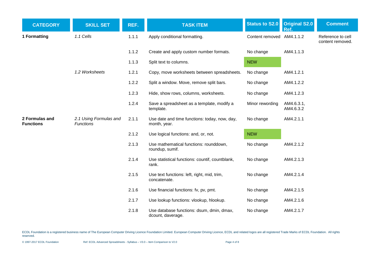| <b>CATEGORY</b>                    | <b>SKILL SET</b>                           | REF.  | <b>TASK ITEM</b>                                               | <b>Status to S2.0</b>     | <b>Original S2.0</b><br>Ref. | <b>Comment</b>                        |
|------------------------------------|--------------------------------------------|-------|----------------------------------------------------------------|---------------------------|------------------------------|---------------------------------------|
| 1 Formatting                       | 1.1 Cells                                  | 1.1.1 | Apply conditional formatting.                                  | Content removed AM4.1.1.2 |                              | Reference to cell<br>content removed. |
|                                    |                                            | 1.1.2 | Create and apply custom number formats.                        | No change                 | AM4.1.1.3                    |                                       |
|                                    |                                            | 1.1.3 | Split text to columns.                                         | <b>NEW</b>                |                              |                                       |
|                                    | 1.2 Worksheets                             | 1.2.1 | Copy, move worksheets between spreadsheets.                    | No change                 | AM4.1.2.1                    |                                       |
|                                    |                                            | 1.2.2 | Split a window. Move, remove split bars.                       | No change                 | AM4.1.2.2                    |                                       |
|                                    |                                            | 1.2.3 | Hide, show rows, columns, worksheets.                          | No change                 | AM4.1.2.3                    |                                       |
|                                    |                                            | 1.2.4 | Save a spreadsheet as a template, modify a<br>template.        | Minor rewording           | AM4.6.3.1,<br>AM4.6.3.2      |                                       |
| 2 Formulas and<br><b>Functions</b> | 2.1 Using Formulas and<br><b>Functions</b> | 2.1.1 | Use date and time functions: today, now, day,<br>month, year.  | No change                 | AM4.2.1.1                    |                                       |
|                                    |                                            | 2.1.2 | Use logical functions: and, or, not.                           | <b>NEW</b>                |                              |                                       |
|                                    |                                            | 2.1.3 | Use mathematical functions: rounddown,<br>roundup, sumif.      | No change                 | AM4.2.1.2                    |                                       |
|                                    |                                            | 2.1.4 | Use statistical functions: countif, countblank,<br>rank.       | No change                 | AM4.2.1.3                    |                                       |
|                                    |                                            | 2.1.5 | Use text functions: left, right, mid, trim,<br>concatenate.    | No change                 | AM4.2.1.4                    |                                       |
|                                    |                                            | 2.1.6 | Use financial functions: fv, pv, pmt.                          | No change                 | AM4.2.1.5                    |                                       |
|                                    |                                            | 2.1.7 | Use lookup functions: vlookup, hlookup.                        | No change                 | AM4.2.1.6                    |                                       |
|                                    |                                            | 2.1.8 | Use database functions: dsum, dmin, dmax,<br>dcount, daverage. | No change                 | AM4.2.1.7                    |                                       |

ECDL Foundation is a registered business name of The European Computer Driving Licence Foundation Limited. European Computer Driving Licence, ECDL and related logos are all registered Trade Marks of ECDL Foundation. All ri reserved.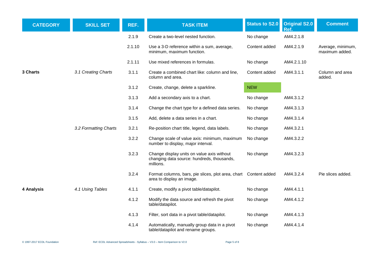| <b>CATEGORY</b> | <b>SKILL SET</b>      | REF.   | <b>TASK ITEM</b>                                                                                      | <b>Status to S2.0</b> | <b>Original S2.0</b><br>Ref. | <b>Comment</b>                      |
|-----------------|-----------------------|--------|-------------------------------------------------------------------------------------------------------|-----------------------|------------------------------|-------------------------------------|
|                 |                       | 2.1.9  | Create a two-level nested function.                                                                   | No change             | AM4.2.1.8                    |                                     |
|                 |                       | 2.1.10 | Use a 3-D reference within a sum, average,<br>minimum, maximum function.                              | Content added         | AM4.2.1.9                    | Average, minimum,<br>maximum added. |
|                 |                       | 2.1.11 | Use mixed references in formulas.                                                                     | No change             | AM4.2.1.10                   |                                     |
| 3 Charts        | 3.1 Creating Charts   | 3.1.1  | Create a combined chart like: column and line,<br>column and area.                                    | Content added         | AM4.3.1.1                    | Column and area<br>added.           |
|                 |                       | 3.1.2  | Create, change, delete a sparkline.                                                                   | <b>NEW</b>            |                              |                                     |
|                 |                       | 3.1.3  | Add a secondary axis to a chart.                                                                      | No change             | AM4.3.1.2                    |                                     |
|                 |                       | 3.1.4  | Change the chart type for a defined data series.                                                      | No change             | AM4.3.1.3                    |                                     |
|                 |                       | 3.1.5  | Add, delete a data series in a chart.                                                                 | No change             | AM4.3.1.4                    |                                     |
|                 | 3.2 Formatting Charts | 3.2.1  | Re-position chart title, legend, data labels.                                                         | No change             | AM4.3.2.1                    |                                     |
|                 |                       | 3.2.2  | Change scale of value axis: minimum, maximum<br>number to display, major interval.                    | No change             | AM4.3.2.2                    |                                     |
|                 |                       | 3.2.3  | Change display units on value axis without<br>changing data source: hundreds, thousands,<br>millions. | No change             | AM4.3.2.3                    |                                     |
|                 |                       | 3.2.4  | Format columns, bars, pie slices, plot area, chart Content added<br>area to display an image.         |                       | AM4.3.2.4                    | Pie slices added.                   |
| 4 Analysis      | 4.1 Using Tables      | 4.1.1  | Create, modify a pivot table/datapilot.                                                               | No change             | AM4.4.1.1                    |                                     |
|                 |                       | 4.1.2  | Modify the data source and refresh the pivot<br>table/datapilot.                                      | No change             | AM4.4.1.2                    |                                     |
|                 |                       | 4.1.3  | Filter, sort data in a pivot table/datapilot.                                                         | No change             | AM4.4.1.3                    |                                     |
|                 |                       | 4.1.4  | Automatically, manually group data in a pivot<br>table/datapilot and rename groups.                   | No change             | AM4.4.1.4                    |                                     |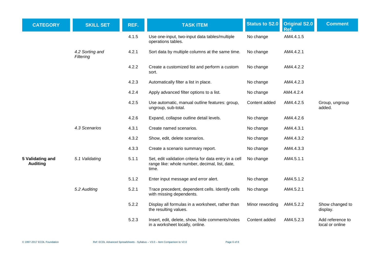| <b>CATEGORY</b>                     | <b>SKILL SET</b>             | REF.  | <b>TASK ITEM</b>                                                                                                  | <b>Status to S2.0</b> | <b>Original S2.0</b><br>Ref. | <b>Comment</b>                      |
|-------------------------------------|------------------------------|-------|-------------------------------------------------------------------------------------------------------------------|-----------------------|------------------------------|-------------------------------------|
|                                     |                              | 4.1.5 | Use one-input, two-input data tables/multiple<br>operations tables.                                               | No change             | AM4.4.1.5                    |                                     |
|                                     | 4.2 Sorting and<br>Filtering | 4.2.1 | Sort data by multiple columns at the same time.                                                                   | No change             | AM4.4.2.1                    |                                     |
|                                     |                              | 4.2.2 | Create a customized list and perform a custom<br>sort.                                                            | No change             | AM4.4.2.2                    |                                     |
|                                     |                              | 4.2.3 | Automatically filter a list in place.                                                                             | No change             | AM4.4.2.3                    |                                     |
|                                     |                              | 4.2.4 | Apply advanced filter options to a list.                                                                          | No change             | AM4.4.2.4                    |                                     |
|                                     |                              | 4.2.5 | Use automatic, manual outline features: group,<br>ungroup, sub-total.                                             | Content added         | AM4.4.2.5                    | Group, ungroup<br>added.            |
|                                     |                              | 4.2.6 | Expand, collapse outline detail levels.                                                                           | No change             | AM4.4.2.6                    |                                     |
|                                     | 4.3 Scenarios                | 4.3.1 | Create named scenarios.                                                                                           | No change             | AM4.4.3.1                    |                                     |
|                                     |                              | 4.3.2 | Show, edit, delete scenarios.                                                                                     | No change             | AM4.4.3.2                    |                                     |
|                                     |                              | 4.3.3 | Create a scenario summary report.                                                                                 | No change             | AM4.4.3.3                    |                                     |
| 5 Validating and<br><b>Auditing</b> | 5.1 Validating               | 5.1.1 | Set, edit validation criteria for data entry in a cell<br>range like: whole number, decimal, list, date,<br>time. | No change             | AM4.5.1.1                    |                                     |
|                                     |                              | 5.1.2 | Enter input message and error alert.                                                                              | No change             | AM4.5.1.2                    |                                     |
|                                     | 5.2 Auditing                 | 5.2.1 | Trace precedent, dependent cells. Identify cells<br>with missing dependents.                                      | No change             | AM4.5.2.1                    |                                     |
|                                     |                              | 5.2.2 | Display all formulas in a worksheet, rather than<br>the resulting values.                                         | Minor rewording       | AM4.5.2.2                    | Show changed to<br>display.         |
|                                     |                              | 5.2.3 | Insert, edit, delete, show, hide comments/notes<br>in a worksheet locally, online.                                | Content added         | AM4.5.2.3                    | Add reference to<br>local or online |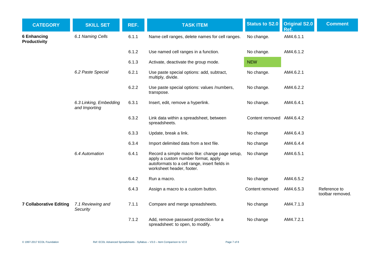| <b>CATEGORY</b>                           | <b>SKILL SET</b>                        | REF.  | <b>TASK ITEM</b>                                                                                                                                                    | <b>Status to S2.0</b>     | <b>Original S2.0</b><br>Ref. | <b>Comment</b>                   |
|-------------------------------------------|-----------------------------------------|-------|---------------------------------------------------------------------------------------------------------------------------------------------------------------------|---------------------------|------------------------------|----------------------------------|
| <b>6 Enhancing</b><br><b>Productivity</b> | 6.1 Naming Cells                        | 6.1.1 | Name cell ranges, delete names for cell ranges.                                                                                                                     | No change.                | AM4.6.1.1                    |                                  |
|                                           |                                         | 6.1.2 | Use named cell ranges in a function.                                                                                                                                | No change.                | AM4.6.1.2                    |                                  |
|                                           |                                         | 6.1.3 | Activate, deactivate the group mode.                                                                                                                                | <b>NEW</b>                |                              |                                  |
|                                           | 6.2 Paste Special                       | 6.2.1 | Use paste special options: add, subtract,<br>multiply, divide.                                                                                                      | No change.                | AM4.6.2.1                    |                                  |
|                                           |                                         | 6.2.2 | Use paste special options: values /numbers,<br>transpose.                                                                                                           | No change.                | AM4.6.2.2                    |                                  |
|                                           | 6.3 Linking, Embedding<br>and Importing | 6.3.1 | Insert, edit, remove a hyperlink.                                                                                                                                   | No change.                | AM4.6.4.1                    |                                  |
|                                           |                                         | 6.3.2 | Link data within a spreadsheet, between<br>spreadsheets.                                                                                                            | Content removed AM4.6.4.2 |                              |                                  |
|                                           |                                         | 6.3.3 | Update, break a link.                                                                                                                                               | No change                 | AM4.6.4.3                    |                                  |
|                                           |                                         | 6.3.4 | Import delimited data from a text file.                                                                                                                             | No change                 | AM4.6.4.4                    |                                  |
|                                           | 6.4 Automation                          | 6.4.1 | Record a simple macro like: change page setup,<br>apply a custom number format, apply<br>autoformats to a cell range, insert fields in<br>worksheet header, footer. | No change                 | AM4.6.5.1                    |                                  |
|                                           |                                         | 6.4.2 | Run a macro.                                                                                                                                                        | No change                 | AM4.6.5.2                    |                                  |
|                                           |                                         | 6.4.3 | Assign a macro to a custom button.                                                                                                                                  | Content removed           | AM4.6.5.3                    | Reference to<br>toolbar removed. |
| <b>7 Collaborative Editing</b>            | 7.1 Reviewing and<br>Security           | 7.1.1 | Compare and merge spreadsheets.                                                                                                                                     | No change                 | AM4.7.1.3                    |                                  |
|                                           |                                         | 7.1.2 | Add, remove password protection for a<br>spreadsheet: to open, to modify.                                                                                           | No change                 | AM4.7.2.1                    |                                  |